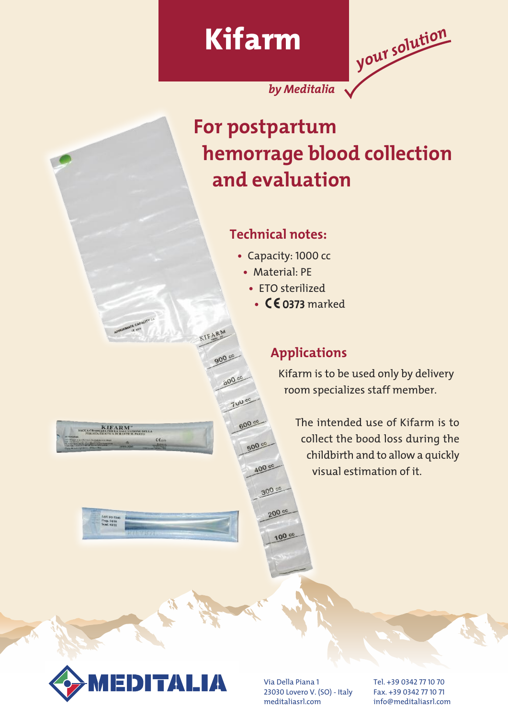# **Kifarm**

*your solution*

*by Meditalia*

### **For postpartum hemorrage blood collection and evaluation**

#### **Technical notes:**

- **•** Capacity: 1000 cc
	- **•** Material: PE

**KIEARM** 

900 cc

 $00^{55}$ 

 $7000$ 

600 cc

500 cc

400 00

 $300 - 6$ 

 $200 \text{ cc}$ 

100 cc

- **•** ETO sterilized
	- C **6** 0373 marked

### **Applications**

Kifarm is to be used only by delivery room specializes staff member.

The intended use of Kifarm is to collect the bood loss during the childbirth and to allow a quickly visual estimation of it.



KIFARM<sup>®</sup>

**LOT TO SA**<br>Prep. 94/16<br>Scall (1971)

 $c\epsilon$ 

Via Della Piana 1 Tel. +39 0342 77 10 70 23030 Lovero V. (SO) - Italy Fax. +39 0342 77 10 71<br>meditaliasrl.com info@meditaliasrl.com

meditaliasrl.com info@meditaliasrl.com